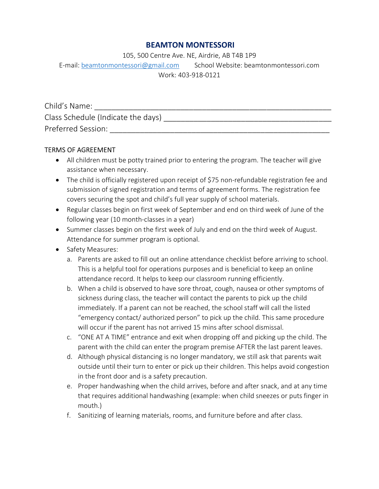# BEAMTON MONTESSORI

105, 500 Centre Ave. NE, Airdrie, AB T4B 1P9

E-mail: beamtonmontessori@gmail.com School Website: beamtonmontessori.com Work: 403-918-0121

| Child's Name:                      |
|------------------------------------|
| Class Schedule (Indicate the days) |
| Preferred Session:                 |

## TERMS OF AGREEMENT

- All children must be potty trained prior to entering the program. The teacher will give assistance when necessary.
- The child is officially registered upon receipt of \$75 non-refundable registration fee and submission of signed registration and terms of agreement forms. The registration fee covers securing the spot and child's full year supply of school materials.
- Regular classes begin on first week of September and end on third week of June of the following year (10 month-classes in a year)
- Summer classes begin on the first week of July and end on the third week of August. Attendance for summer program is optional.
- Safety Measures:
	- a. Parents are asked to fill out an online attendance checklist before arriving to school. This is a helpful tool for operations purposes and is beneficial to keep an online attendance record. It helps to keep our classroom running efficiently.
	- b. When a child is observed to have sore throat, cough, nausea or other symptoms of sickness during class, the teacher will contact the parents to pick up the child immediately. If a parent can not be reached, the school staff will call the listed "emergency contact/ authorized person" to pick up the child. This same procedure will occur if the parent has not arrived 15 mins after school dismissal.
	- c. "ONE AT A TIME" entrance and exit when dropping off and picking up the child. The parent with the child can enter the program premise AFTER the last parent leaves.
	- d. Although physical distancing is no longer mandatory, we still ask that parents wait outside until their turn to enter or pick up their children. This helps avoid congestion in the front door and is a safety precaution.
	- e. Proper handwashing when the child arrives, before and after snack, and at any time that requires additional handwashing (example: when child sneezes or puts finger in mouth.)
	- f. Sanitizing of learning materials, rooms, and furniture before and after class.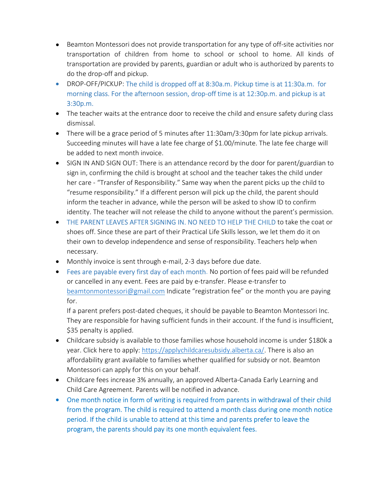- Beamton Montessori does not provide transportation for any type of off-site activities nor transportation of children from home to school or school to home. All kinds of transportation are provided by parents, guardian or adult who is authorized by parents to do the drop-off and pickup.
- DROP-OFF/PICKUP: The child is dropped off at 8:30a.m. Pickup time is at 11:30a.m. for morning class. For the afternoon session, drop-off time is at 12:30p.m. and pickup is at 3:30p.m.
- The teacher waits at the entrance door to receive the child and ensure safety during class dismissal.
- There will be a grace period of 5 minutes after 11:30am/3:30pm for late pickup arrivals. Succeeding minutes will have a late fee charge of \$1.00/minute. The late fee charge will be added to next month invoice.
- SIGN IN AND SIGN OUT: There is an attendance record by the door for parent/guardian to sign in, confirming the child is brought at school and the teacher takes the child under her care - "Transfer of Responsibility." Same way when the parent picks up the child to "resume responsibility." If a different person will pick up the child, the parent should inform the teacher in advance, while the person will be asked to show ID to confirm identity. The teacher will not release the child to anyone without the parent's permission.
- THE PARENT LEAVES AFTER SIGNING IN. NO NEED TO HELP THE CHILD to take the coat or shoes off. Since these are part of their Practical Life Skills lesson, we let them do it on their own to develop independence and sense of responsibility. Teachers help when necessary.
- Monthly invoice is sent through e-mail, 2-3 days before due date.
- Fees are payable every first day of each month. No portion of fees paid will be refunded or cancelled in any event. Fees are paid by e-transfer. Please e-transfer to beamtonmontessori@gmail.com Indicate "registration fee" or the month you are paying for.

If a parent prefers post-dated cheques, it should be payable to Beamton Montessori Inc. They are responsible for having sufficient funds in their account. If the fund is insufficient, \$35 penalty is applied.

- Childcare subsidy is available to those families whose household income is under \$180k a year. Click here to apply: https://applychildcaresubsidy.alberta.ca/. There is also an affordability grant available to families whether qualified for subsidy or not. Beamton Montessori can apply for this on your behalf.
- Childcare fees increase 3% annually, an approved Alberta-Canada Early Learning and Child Care Agreement. Parents will be notified in advance.
- One month notice in form of writing is required from parents in withdrawal of their child from the program. The child is required to attend a month class during one month notice period. If the child is unable to attend at this time and parents prefer to leave the program, the parents should pay its one month equivalent fees.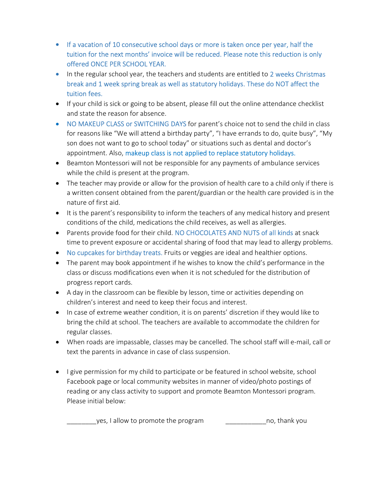- If a vacation of 10 consecutive school days or more is taken once per year, half the tuition for the next months' invoice will be reduced. Please note this reduction is only offered ONCE PER SCHOOL YEAR.
- In the regular school year, the teachers and students are entitled to 2 weeks Christmas break and 1 week spring break as well as statutory holidays. These do NOT affect the tuition fees.
- If your child is sick or going to be absent, please fill out the online attendance checklist and state the reason for absence.
- NO MAKEUP CLASS or SWITCHING DAYS for parent's choice not to send the child in class for reasons like "We will attend a birthday party", "I have errands to do, quite busy", "My son does not want to go to school today" or situations such as dental and doctor's appointment. Also, makeup class is not applied to replace statutory holidays.
- Beamton Montessori will not be responsible for any payments of ambulance services while the child is present at the program.
- The teacher may provide or allow for the provision of health care to a child only if there is a written consent obtained from the parent/guardian or the health care provided is in the nature of first aid.
- It is the parent's responsibility to inform the teachers of any medical history and present conditions of the child, medications the child receives, as well as allergies.
- Parents provide food for their child. NO CHOCOLATES AND NUTS of all kinds at snack time to prevent exposure or accidental sharing of food that may lead to allergy problems.
- No cupcakes for birthday treats. Fruits or veggies are ideal and healthier options.
- The parent may book appointment if he wishes to know the child's performance in the class or discuss modifications even when it is not scheduled for the distribution of progress report cards.
- A day in the classroom can be flexible by lesson, time or activities depending on children's interest and need to keep their focus and interest.
- In case of extreme weather condition, it is on parents' discretion if they would like to bring the child at school. The teachers are available to accommodate the children for regular classes.
- When roads are impassable, classes may be cancelled. The school staff will e-mail, call or text the parents in advance in case of class suspension.
- I give permission for my child to participate or be featured in school website, school Facebook page or local community websites in manner of video/photo postings of reading or any class activity to support and promote Beamton Montessori program. Please initial below:

yes, I allow to promote the program Theorem and the no, thank you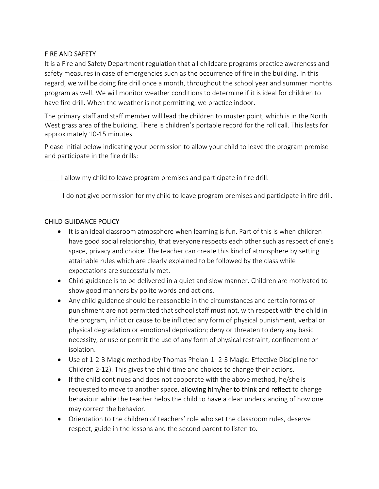## FIRE AND SAFETY

It is a Fire and Safety Department regulation that all childcare programs practice awareness and safety measures in case of emergencies such as the occurrence of fire in the building. In this regard, we will be doing fire drill once a month, throughout the school year and summer months program as well. We will monitor weather conditions to determine if it is ideal for children to have fire drill. When the weather is not permitting, we practice indoor.

The primary staff and staff member will lead the children to muster point, which is in the North West grass area of the building. There is children's portable record for the roll call. This lasts for approximately 10-15 minutes.

Please initial below indicating your permission to allow your child to leave the program premise and participate in the fire drills:

\_\_\_\_ I allow my child to leave program premises and participate in fire drill.

I do not give permission for my child to leave program premises and participate in fire drill.

### CHILD GUIDANCE POLICY

- It is an ideal classroom atmosphere when learning is fun. Part of this is when children have good social relationship, that everyone respects each other such as respect of one's space, privacy and choice. The teacher can create this kind of atmosphere by setting attainable rules which are clearly explained to be followed by the class while expectations are successfully met.
- Child guidance is to be delivered in a quiet and slow manner. Children are motivated to show good manners by polite words and actions.
- Any child guidance should be reasonable in the circumstances and certain forms of punishment are not permitted that school staff must not, with respect with the child in the program, inflict or cause to be inflicted any form of physical punishment, verbal or physical degradation or emotional deprivation; deny or threaten to deny any basic necessity, or use or permit the use of any form of physical restraint, confinement or isolation.
- Use of 1-2-3 Magic method (by Thomas Phelan-1- 2-3 Magic: Effective Discipline for Children 2-12). This gives the child time and choices to change their actions.
- If the child continues and does not cooperate with the above method, he/she is requested to move to another space, allowing him/her to think and reflect to change behaviour while the teacher helps the child to have a clear understanding of how one may correct the behavior.
- Orientation to the children of teachers' role who set the classroom rules, deserve respect, guide in the lessons and the second parent to listen to.